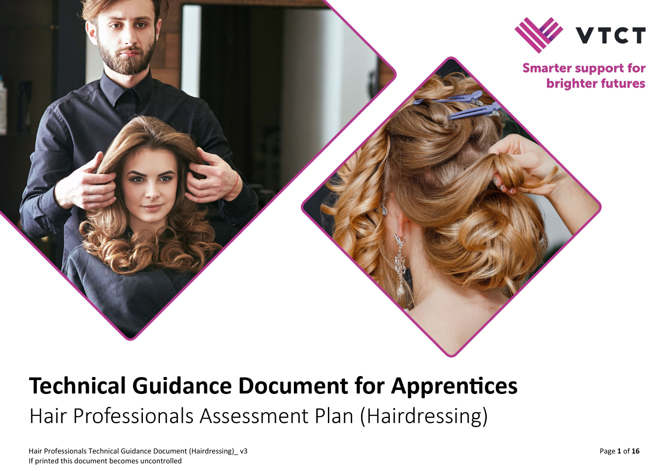

# **Technical Guidance Document for Apprentices** Hair Professionals Assessment Plan (Hairdressing)

Hair Professionals Technical Guidance Document (Hairdressing) \_ v If printed this document becomes uncontrolled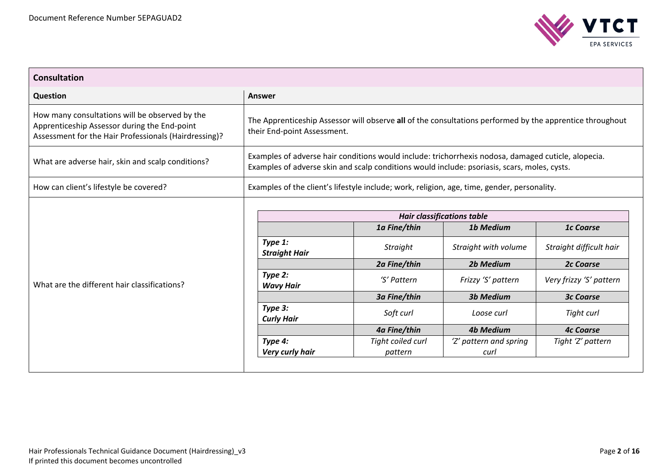

| <b>Consultation</b>                                                                                                                                     |                                                                                                                                                                                                     |                                 |                                                                               |                                             |
|---------------------------------------------------------------------------------------------------------------------------------------------------------|-----------------------------------------------------------------------------------------------------------------------------------------------------------------------------------------------------|---------------------------------|-------------------------------------------------------------------------------|---------------------------------------------|
| Question                                                                                                                                                | Answer                                                                                                                                                                                              |                                 |                                                                               |                                             |
| How many consultations will be observed by the<br>Apprenticeship Assessor during the End-point<br>Assessment for the Hair Professionals (Hairdressing)? | The Apprenticeship Assessor will observe all of the consultations performed by the apprentice throughout<br>their End-point Assessment.                                                             |                                 |                                                                               |                                             |
| What are adverse hair, skin and scalp conditions?                                                                                                       | Examples of adverse hair conditions would include: trichorrhexis nodosa, damaged cuticle, alopecia.<br>Examples of adverse skin and scalp conditions would include: psoriasis, scars, moles, cysts. |                                 |                                                                               |                                             |
| How can client's lifestyle be covered?                                                                                                                  | Examples of the client's lifestyle include; work, religion, age, time, gender, personality.                                                                                                         |                                 |                                                                               |                                             |
| What are the different hair classifications?                                                                                                            | Type 1:                                                                                                                                                                                             | 1a Fine/thin<br><b>Straight</b> | <b>Hair classifications table</b><br><b>1b Medium</b><br>Straight with volume | <b>1c Coarse</b><br>Straight difficult hair |
|                                                                                                                                                         | <b>Straight Hair</b>                                                                                                                                                                                | 2a Fine/thin                    | <b>2b Medium</b>                                                              | <b>2c Coarse</b>                            |
|                                                                                                                                                         | Type 2:<br><b>Wavy Hair</b>                                                                                                                                                                         | 'S' Pattern                     | Frizzy 'S' pattern                                                            | Very frizzy 'S' pattern                     |
|                                                                                                                                                         |                                                                                                                                                                                                     | 3a Fine/thin                    | <b>3b Medium</b>                                                              | <b>3c Coarse</b>                            |
|                                                                                                                                                         | Type 3:<br><b>Curly Hair</b>                                                                                                                                                                        | Soft curl                       | Loose curl                                                                    | Tight curl                                  |
|                                                                                                                                                         |                                                                                                                                                                                                     | 4a Fine/thin                    | <b>4b Medium</b>                                                              | <b>4c Coarse</b>                            |
|                                                                                                                                                         | Type 4:<br>Very curly hair                                                                                                                                                                          | Tight coiled curl<br>pattern    | 'Z' pattern and spring<br>curl                                                | Tight 'Z' pattern                           |
|                                                                                                                                                         |                                                                                                                                                                                                     |                                 |                                                                               |                                             |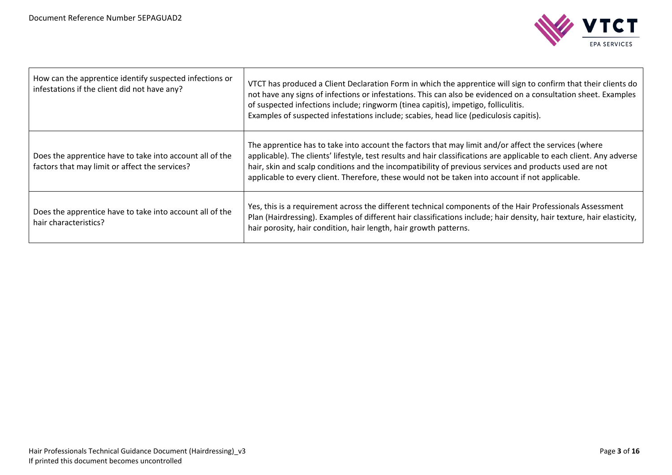

| How can the apprentice identify suspected infections or<br>infestations if the client did not have any?    | VTCT has produced a Client Declaration Form in which the apprentice will sign to confirm that their clients do<br>not have any signs of infections or infestations. This can also be evidenced on a consultation sheet. Examples<br>of suspected infections include; ringworm (tinea capitis), impetigo, folliculitis.<br>Examples of suspected infestations include; scabies, head lice (pediculosis capitis).                            |
|------------------------------------------------------------------------------------------------------------|--------------------------------------------------------------------------------------------------------------------------------------------------------------------------------------------------------------------------------------------------------------------------------------------------------------------------------------------------------------------------------------------------------------------------------------------|
| Does the apprentice have to take into account all of the<br>factors that may limit or affect the services? | The apprentice has to take into account the factors that may limit and/or affect the services (where<br>applicable). The clients' lifestyle, test results and hair classifications are applicable to each client. Any adverse<br>hair, skin and scalp conditions and the incompatibility of previous services and products used are not<br>applicable to every client. Therefore, these would not be taken into account if not applicable. |
| Does the apprentice have to take into account all of the<br>hair characteristics?                          | Yes, this is a requirement across the different technical components of the Hair Professionals Assessment<br>Plan (Hairdressing). Examples of different hair classifications include; hair density, hair texture, hair elasticity,<br>hair porosity, hair condition, hair length, hair growth patterns.                                                                                                                                    |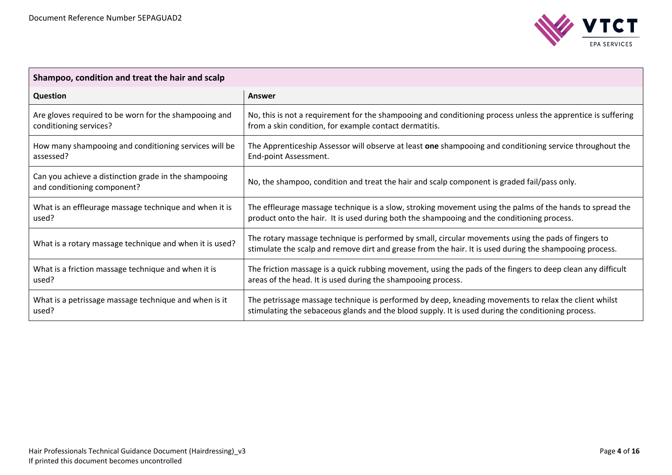

| Shampoo, condition and treat the hair and scalp                                      |                                                                                                                                                                                                                |  |
|--------------------------------------------------------------------------------------|----------------------------------------------------------------------------------------------------------------------------------------------------------------------------------------------------------------|--|
| Question                                                                             | Answer                                                                                                                                                                                                         |  |
| Are gloves required to be worn for the shampooing and                                | No, this is not a requirement for the shampooing and conditioning process unless the apprentice is suffering                                                                                                   |  |
| conditioning services?                                                               | from a skin condition, for example contact dermatitis.                                                                                                                                                         |  |
| How many shampooing and conditioning services will be                                | The Apprenticeship Assessor will observe at least one shampooing and conditioning service throughout the                                                                                                       |  |
| assessed?                                                                            | End-point Assessment.                                                                                                                                                                                          |  |
| Can you achieve a distinction grade in the shampooing<br>and conditioning component? | No, the shampoo, condition and treat the hair and scalp component is graded fail/pass only.                                                                                                                    |  |
| What is an effleurage massage technique and when it is                               | The effleurage massage technique is a slow, stroking movement using the palms of the hands to spread the                                                                                                       |  |
| used?                                                                                | product onto the hair. It is used during both the shampooing and the conditioning process.                                                                                                                     |  |
| What is a rotary massage technique and when it is used?                              | The rotary massage technique is performed by small, circular movements using the pads of fingers to<br>stimulate the scalp and remove dirt and grease from the hair. It is used during the shampooing process. |  |
| What is a friction massage technique and when it is                                  | The friction massage is a quick rubbing movement, using the pads of the fingers to deep clean any difficult                                                                                                    |  |
| used?                                                                                | areas of the head. It is used during the shampooing process.                                                                                                                                                   |  |
| What is a petrissage massage technique and when is it                                | The petrissage massage technique is performed by deep, kneading movements to relax the client whilst                                                                                                           |  |
| used?                                                                                | stimulating the sebaceous glands and the blood supply. It is used during the conditioning process.                                                                                                             |  |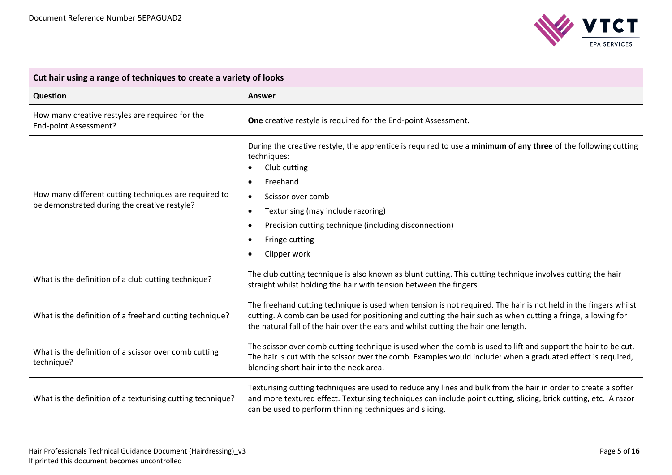

| Cut hair using a range of techniques to create a variety of looks                                     |                                                                                                                                                                                                                                                                                                                              |  |
|-------------------------------------------------------------------------------------------------------|------------------------------------------------------------------------------------------------------------------------------------------------------------------------------------------------------------------------------------------------------------------------------------------------------------------------------|--|
| <b>Question</b>                                                                                       | <b>Answer</b>                                                                                                                                                                                                                                                                                                                |  |
| How many creative restyles are required for the<br>End-point Assessment?                              | One creative restyle is required for the End-point Assessment.                                                                                                                                                                                                                                                               |  |
| How many different cutting techniques are required to<br>be demonstrated during the creative restyle? | During the creative restyle, the apprentice is required to use a minimum of any three of the following cutting<br>techniques:<br>Club cutting<br>Freehand<br>Scissor over comb<br>$\bullet$<br>Texturising (may include razoring)<br>Precision cutting technique (including disconnection)<br>Fringe cutting<br>Clipper work |  |
| What is the definition of a club cutting technique?                                                   | The club cutting technique is also known as blunt cutting. This cutting technique involves cutting the hair<br>straight whilst holding the hair with tension between the fingers.                                                                                                                                            |  |
| What is the definition of a freehand cutting technique?                                               | The freehand cutting technique is used when tension is not required. The hair is not held in the fingers whilst<br>cutting. A comb can be used for positioning and cutting the hair such as when cutting a fringe, allowing for<br>the natural fall of the hair over the ears and whilst cutting the hair one length.        |  |
| What is the definition of a scissor over comb cutting<br>technique?                                   | The scissor over comb cutting technique is used when the comb is used to lift and support the hair to be cut.<br>The hair is cut with the scissor over the comb. Examples would include: when a graduated effect is required,<br>blending short hair into the neck area.                                                     |  |
| What is the definition of a texturising cutting technique?                                            | Texturising cutting techniques are used to reduce any lines and bulk from the hair in order to create a softer<br>and more textured effect. Texturising techniques can include point cutting, slicing, brick cutting, etc. A razor<br>can be used to perform thinning techniques and slicing.                                |  |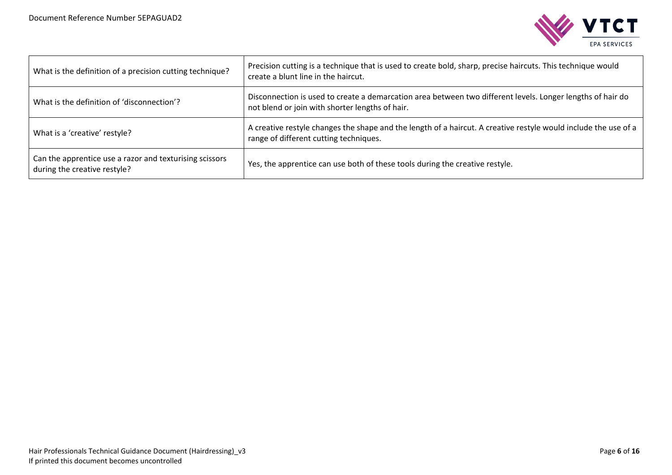

| What is the definition of a precision cutting technique?                                | Precision cutting is a technique that is used to create bold, sharp, precise haircuts. This technique would<br>create a blunt line in the haircut.            |
|-----------------------------------------------------------------------------------------|---------------------------------------------------------------------------------------------------------------------------------------------------------------|
| What is the definition of 'disconnection'?                                              | Disconnection is used to create a demarcation area between two different levels. Longer lengths of hair do<br>not blend or join with shorter lengths of hair. |
| What is a 'creative' restyle?                                                           | A creative restyle changes the shape and the length of a haircut. A creative restyle would include the use of a<br>range of different cutting techniques.     |
| Can the apprentice use a razor and texturising scissors<br>during the creative restyle? | Yes, the apprentice can use both of these tools during the creative restyle.                                                                                  |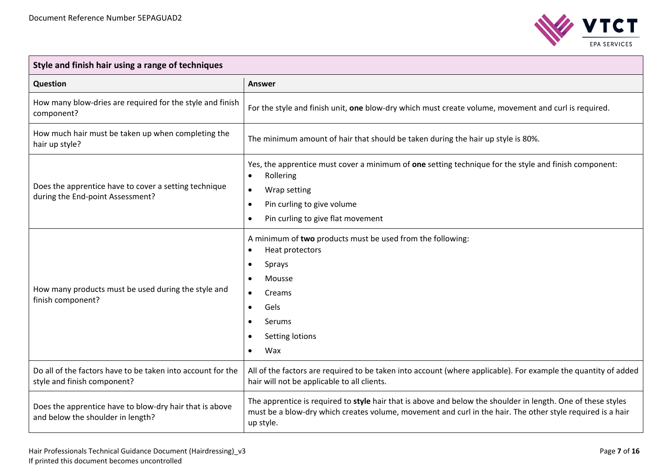

 $\overline{\phantom{0}}$ 

| Style and finish hair using a range of techniques                                            |                                                                                                                                                                                                                                              |  |
|----------------------------------------------------------------------------------------------|----------------------------------------------------------------------------------------------------------------------------------------------------------------------------------------------------------------------------------------------|--|
| Question                                                                                     | Answer                                                                                                                                                                                                                                       |  |
| How many blow-dries are required for the style and finish<br>component?                      | For the style and finish unit, one blow-dry which must create volume, movement and curl is required.                                                                                                                                         |  |
| How much hair must be taken up when completing the<br>hair up style?                         | The minimum amount of hair that should be taken during the hair up style is 80%.                                                                                                                                                             |  |
| Does the apprentice have to cover a setting technique<br>during the End-point Assessment?    | Yes, the apprentice must cover a minimum of one setting technique for the style and finish component:<br>Rollering<br>$\bullet$<br>Wrap setting<br>$\bullet$<br>Pin curling to give volume<br>$\bullet$<br>Pin curling to give flat movement |  |
| How many products must be used during the style and<br>finish component?                     | A minimum of two products must be used from the following:<br>Heat protectors<br>Sprays<br>$\bullet$<br>Mousse<br>Creams<br>$\bullet$<br>Gels<br>$\bullet$<br>Serums<br>Setting lotions<br>Wax                                               |  |
| Do all of the factors have to be taken into account for the<br>style and finish component?   | All of the factors are required to be taken into account (where applicable). For example the quantity of added<br>hair will not be applicable to all clients.                                                                                |  |
| Does the apprentice have to blow-dry hair that is above<br>and below the shoulder in length? | The apprentice is required to style hair that is above and below the shoulder in length. One of these styles<br>must be a blow-dry which creates volume, movement and curl in the hair. The other style required is a hair<br>up style.      |  |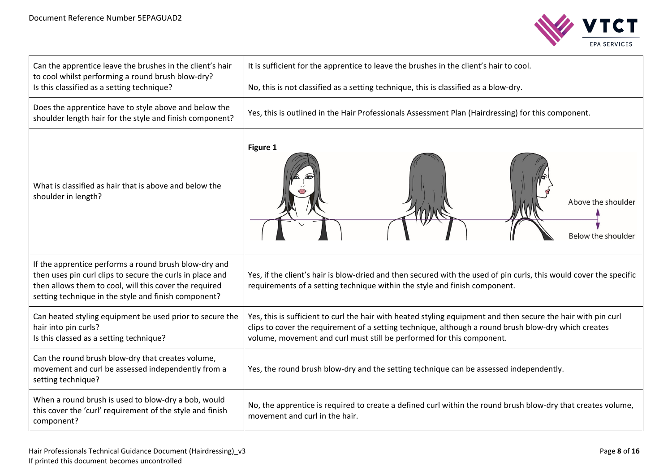

| Can the apprentice leave the brushes in the client's hair<br>to cool whilst performing a round brush blow-dry?                                                                                                                       | It is sufficient for the apprentice to leave the brushes in the client's hair to cool.                                                                                                                                                                                                         |
|--------------------------------------------------------------------------------------------------------------------------------------------------------------------------------------------------------------------------------------|------------------------------------------------------------------------------------------------------------------------------------------------------------------------------------------------------------------------------------------------------------------------------------------------|
| Is this classified as a setting technique?                                                                                                                                                                                           | No, this is not classified as a setting technique, this is classified as a blow-dry.                                                                                                                                                                                                           |
| Does the apprentice have to style above and below the<br>shoulder length hair for the style and finish component?                                                                                                                    | Yes, this is outlined in the Hair Professionals Assessment Plan (Hairdressing) for this component.                                                                                                                                                                                             |
| What is classified as hair that is above and below the<br>shoulder in length?                                                                                                                                                        | Figure 1<br>Above the shoulder<br>Below the shoulder                                                                                                                                                                                                                                           |
| If the apprentice performs a round brush blow-dry and<br>then uses pin curl clips to secure the curls in place and<br>then allows them to cool, will this cover the required<br>setting technique in the style and finish component? | Yes, if the client's hair is blow-dried and then secured with the used of pin curls, this would cover the specific<br>requirements of a setting technique within the style and finish component.                                                                                               |
| Can heated styling equipment be used prior to secure the<br>hair into pin curls?<br>Is this classed as a setting technique?                                                                                                          | Yes, this is sufficient to curl the hair with heated styling equipment and then secure the hair with pin curl<br>clips to cover the requirement of a setting technique, although a round brush blow-dry which creates<br>volume, movement and curl must still be performed for this component. |
| Can the round brush blow-dry that creates volume,<br>movement and curl be assessed independently from a<br>setting technique?                                                                                                        | Yes, the round brush blow-dry and the setting technique can be assessed independently.                                                                                                                                                                                                         |
| When a round brush is used to blow-dry a bob, would<br>this cover the 'curl' requirement of the style and finish<br>component?                                                                                                       | No, the apprentice is required to create a defined curl within the round brush blow-dry that creates volume,<br>movement and curl in the hair.                                                                                                                                                 |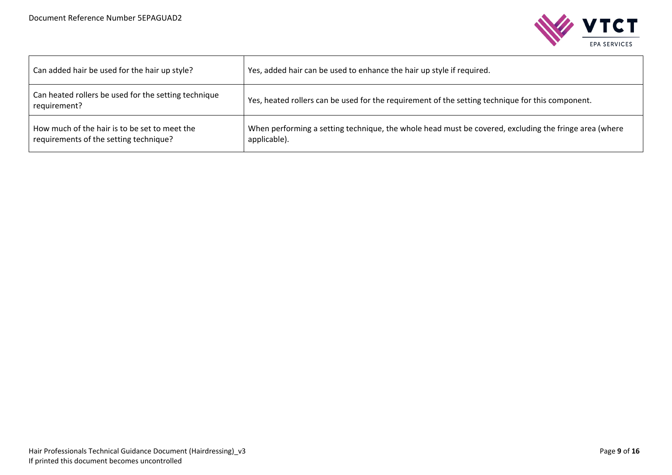

| Can added hair be used for the hair up style?                                           | Yes, added hair can be used to enhance the hair up style if required.                                                 |
|-----------------------------------------------------------------------------------------|-----------------------------------------------------------------------------------------------------------------------|
| Can heated rollers be used for the setting technique<br>requirement?                    | Yes, heated rollers can be used for the requirement of the setting technique for this component.                      |
| How much of the hair is to be set to meet the<br>requirements of the setting technique? | When performing a setting technique, the whole head must be covered, excluding the fringe area (where<br>applicable). |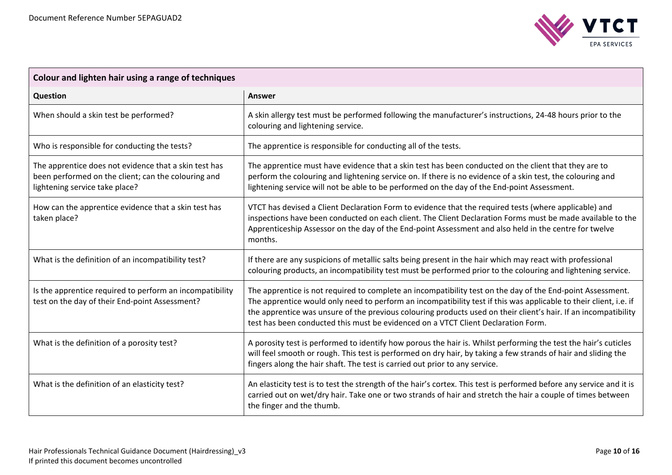

| Colour and lighten hair using a range of techniques                                                                                            |                                                                                                                                                                                                                                                                                                                                                                                                                                         |  |
|------------------------------------------------------------------------------------------------------------------------------------------------|-----------------------------------------------------------------------------------------------------------------------------------------------------------------------------------------------------------------------------------------------------------------------------------------------------------------------------------------------------------------------------------------------------------------------------------------|--|
| Question                                                                                                                                       | Answer                                                                                                                                                                                                                                                                                                                                                                                                                                  |  |
| When should a skin test be performed?                                                                                                          | A skin allergy test must be performed following the manufacturer's instructions, 24-48 hours prior to the<br>colouring and lightening service.                                                                                                                                                                                                                                                                                          |  |
| Who is responsible for conducting the tests?                                                                                                   | The apprentice is responsible for conducting all of the tests.                                                                                                                                                                                                                                                                                                                                                                          |  |
| The apprentice does not evidence that a skin test has<br>been performed on the client; can the colouring and<br>lightening service take place? | The apprentice must have evidence that a skin test has been conducted on the client that they are to<br>perform the colouring and lightening service on. If there is no evidence of a skin test, the colouring and<br>lightening service will not be able to be performed on the day of the End-point Assessment.                                                                                                                       |  |
| How can the apprentice evidence that a skin test has<br>taken place?                                                                           | VTCT has devised a Client Declaration Form to evidence that the required tests (where applicable) and<br>inspections have been conducted on each client. The Client Declaration Forms must be made available to the<br>Apprenticeship Assessor on the day of the End-point Assessment and also held in the centre for twelve<br>months.                                                                                                 |  |
| What is the definition of an incompatibility test?                                                                                             | If there are any suspicions of metallic salts being present in the hair which may react with professional<br>colouring products, an incompatibility test must be performed prior to the colouring and lightening service.                                                                                                                                                                                                               |  |
| Is the apprentice required to perform an incompatibility<br>test on the day of their End-point Assessment?                                     | The apprentice is not required to complete an incompatibility test on the day of the End-point Assessment.<br>The apprentice would only need to perform an incompatibility test if this was applicable to their client, i.e. if<br>the apprentice was unsure of the previous colouring products used on their client's hair. If an incompatibility<br>test has been conducted this must be evidenced on a VTCT Client Declaration Form. |  |
| What is the definition of a porosity test?                                                                                                     | A porosity test is performed to identify how porous the hair is. Whilst performing the test the hair's cuticles<br>will feel smooth or rough. This test is performed on dry hair, by taking a few strands of hair and sliding the<br>fingers along the hair shaft. The test is carried out prior to any service.                                                                                                                        |  |
| What is the definition of an elasticity test?                                                                                                  | An elasticity test is to test the strength of the hair's cortex. This test is performed before any service and it is<br>carried out on wet/dry hair. Take one or two strands of hair and stretch the hair a couple of times between<br>the finger and the thumb.                                                                                                                                                                        |  |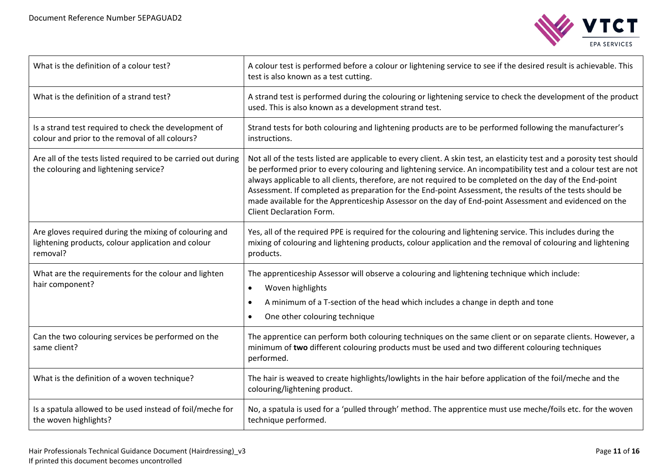

| What is the definition of a colour test?                                                                                 | A colour test is performed before a colour or lightening service to see if the desired result is achievable. This<br>test is also known as a test cutting.                                                                                                                                                                                                                                                                                                                                                                                                                                               |
|--------------------------------------------------------------------------------------------------------------------------|----------------------------------------------------------------------------------------------------------------------------------------------------------------------------------------------------------------------------------------------------------------------------------------------------------------------------------------------------------------------------------------------------------------------------------------------------------------------------------------------------------------------------------------------------------------------------------------------------------|
| What is the definition of a strand test?                                                                                 | A strand test is performed during the colouring or lightening service to check the development of the product<br>used. This is also known as a development strand test.                                                                                                                                                                                                                                                                                                                                                                                                                                  |
| Is a strand test required to check the development of<br>colour and prior to the removal of all colours?                 | Strand tests for both colouring and lightening products are to be performed following the manufacturer's<br>instructions.                                                                                                                                                                                                                                                                                                                                                                                                                                                                                |
| Are all of the tests listed required to be carried out during<br>the colouring and lightening service?                   | Not all of the tests listed are applicable to every client. A skin test, an elasticity test and a porosity test should<br>be performed prior to every colouring and lightening service. An incompatibility test and a colour test are not<br>always applicable to all clients, therefore, are not required to be completed on the day of the End-point<br>Assessment. If completed as preparation for the End-point Assessment, the results of the tests should be<br>made available for the Apprenticeship Assessor on the day of End-point Assessment and evidenced on the<br>Client Declaration Form. |
| Are gloves required during the mixing of colouring and<br>lightening products, colour application and colour<br>removal? | Yes, all of the required PPE is required for the colouring and lightening service. This includes during the<br>mixing of colouring and lightening products, colour application and the removal of colouring and lightening<br>products.                                                                                                                                                                                                                                                                                                                                                                  |
| What are the requirements for the colour and lighten<br>hair component?                                                  | The apprenticeship Assessor will observe a colouring and lightening technique which include:<br>Woven highlights<br>$\bullet$<br>A minimum of a T-section of the head which includes a change in depth and tone<br>One other colouring technique                                                                                                                                                                                                                                                                                                                                                         |
| Can the two colouring services be performed on the<br>same client?                                                       | The apprentice can perform both colouring techniques on the same client or on separate clients. However, a<br>minimum of two different colouring products must be used and two different colouring techniques<br>performed.                                                                                                                                                                                                                                                                                                                                                                              |
| What is the definition of a woven technique?                                                                             | The hair is weaved to create highlights/lowlights in the hair before application of the foil/meche and the<br>colouring/lightening product.                                                                                                                                                                                                                                                                                                                                                                                                                                                              |
| Is a spatula allowed to be used instead of foil/meche for<br>the woven highlights?                                       | No, a spatula is used for a 'pulled through' method. The apprentice must use meche/foils etc. for the woven<br>technique performed.                                                                                                                                                                                                                                                                                                                                                                                                                                                                      |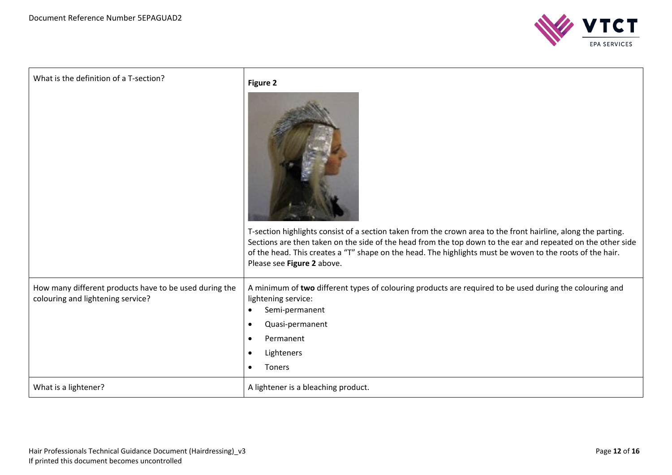

| What is the definition of a T-section?                                                      | Figure 2<br>T-section highlights consist of a section taken from the crown area to the front hairline, along the parting.<br>Sections are then taken on the side of the head from the top down to the ear and repeated on the other side<br>of the head. This creates a "T" shape on the head. The highlights must be woven to the roots of the hair.<br>Please see Figure 2 above. |
|---------------------------------------------------------------------------------------------|-------------------------------------------------------------------------------------------------------------------------------------------------------------------------------------------------------------------------------------------------------------------------------------------------------------------------------------------------------------------------------------|
| How many different products have to be used during the<br>colouring and lightening service? | A minimum of two different types of colouring products are required to be used during the colouring and<br>lightening service:<br>Semi-permanent<br>Quasi-permanent<br>$\bullet$<br>Permanent<br>Lighteners<br>Toners                                                                                                                                                               |
| What is a lightener?                                                                        | A lightener is a bleaching product.                                                                                                                                                                                                                                                                                                                                                 |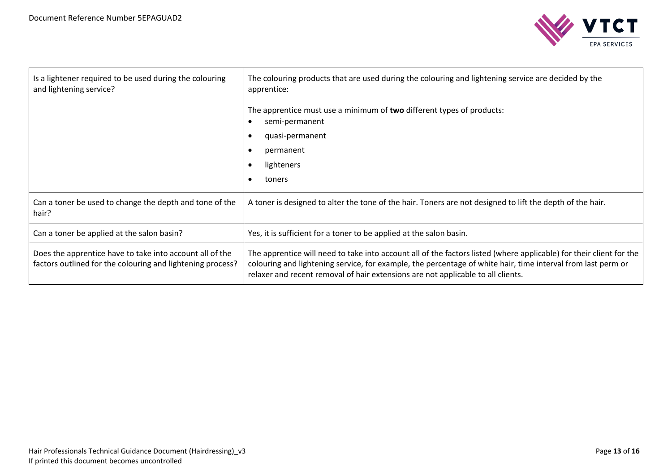

| Is a lightener required to be used during the colouring<br>and lightening service?                                     | The colouring products that are used during the colouring and lightening service are decided by the<br>apprentice:                                                                                                                                                                                                      |
|------------------------------------------------------------------------------------------------------------------------|-------------------------------------------------------------------------------------------------------------------------------------------------------------------------------------------------------------------------------------------------------------------------------------------------------------------------|
|                                                                                                                        | The apprentice must use a minimum of two different types of products:<br>semi-permanent                                                                                                                                                                                                                                 |
|                                                                                                                        | quasi-permanent                                                                                                                                                                                                                                                                                                         |
|                                                                                                                        | permanent                                                                                                                                                                                                                                                                                                               |
|                                                                                                                        | lighteners                                                                                                                                                                                                                                                                                                              |
|                                                                                                                        | toners                                                                                                                                                                                                                                                                                                                  |
| Can a toner be used to change the depth and tone of the<br>hair?                                                       | A toner is designed to alter the tone of the hair. Toners are not designed to lift the depth of the hair.                                                                                                                                                                                                               |
| Can a toner be applied at the salon basin?                                                                             | Yes, it is sufficient for a toner to be applied at the salon basin.                                                                                                                                                                                                                                                     |
| Does the apprentice have to take into account all of the<br>factors outlined for the colouring and lightening process? | The apprentice will need to take into account all of the factors listed (where applicable) for their client for the<br>colouring and lightening service, for example, the percentage of white hair, time interval from last perm or<br>relaxer and recent removal of hair extensions are not applicable to all clients. |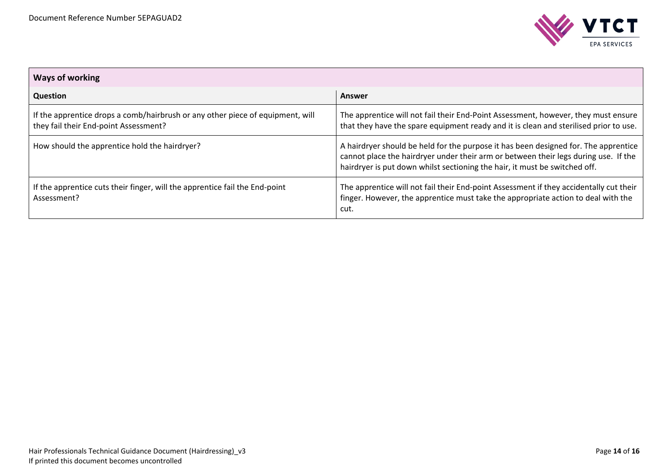

| <b>Ways of working</b>                                                                                                  |                                                                                                                                                                                                                                                          |  |  |
|-------------------------------------------------------------------------------------------------------------------------|----------------------------------------------------------------------------------------------------------------------------------------------------------------------------------------------------------------------------------------------------------|--|--|
| Question                                                                                                                | Answer                                                                                                                                                                                                                                                   |  |  |
| If the apprentice drops a comb/hairbrush or any other piece of equipment, will<br>they fail their End-point Assessment? | The apprentice will not fail their End-Point Assessment, however, they must ensure<br>that they have the spare equipment ready and it is clean and sterilised prior to use.                                                                              |  |  |
| How should the apprentice hold the hairdryer?                                                                           | A hairdryer should be held for the purpose it has been designed for. The apprentice<br>cannot place the hairdryer under their arm or between their legs during use. If the<br>hairdryer is put down whilst sectioning the hair, it must be switched off. |  |  |
| If the apprentice cuts their finger, will the apprentice fail the End-point<br>Assessment?                              | The apprentice will not fail their End-point Assessment if they accidentally cut their<br>finger. However, the apprentice must take the appropriate action to deal with the<br>cut.                                                                      |  |  |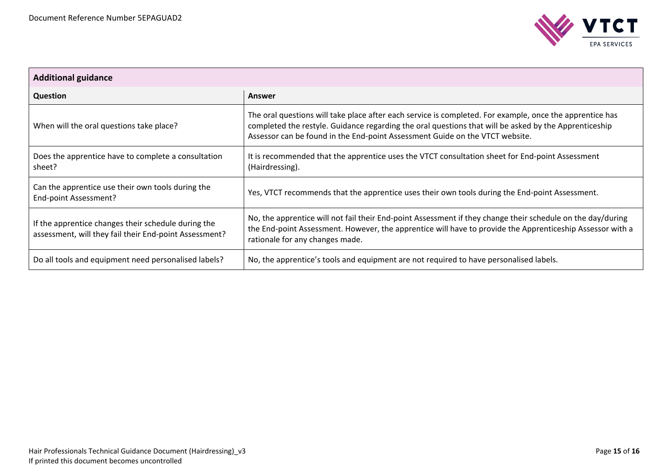

| <b>Additional guidance</b>                                                                                    |                                                                                                                                                                                                                                                                                                   |  |  |
|---------------------------------------------------------------------------------------------------------------|---------------------------------------------------------------------------------------------------------------------------------------------------------------------------------------------------------------------------------------------------------------------------------------------------|--|--|
| <b>Question</b>                                                                                               | Answer                                                                                                                                                                                                                                                                                            |  |  |
| When will the oral questions take place?                                                                      | The oral questions will take place after each service is completed. For example, once the apprentice has<br>completed the restyle. Guidance regarding the oral questions that will be asked by the Apprenticeship<br>Assessor can be found in the End-point Assessment Guide on the VTCT website. |  |  |
| Does the apprentice have to complete a consultation<br>sheet?                                                 | It is recommended that the apprentice uses the VTCT consultation sheet for End-point Assessment<br>(Hairdressing).                                                                                                                                                                                |  |  |
| Can the apprentice use their own tools during the<br>End-point Assessment?                                    | Yes, VTCT recommends that the apprentice uses their own tools during the End-point Assessment.                                                                                                                                                                                                    |  |  |
| If the apprentice changes their schedule during the<br>assessment, will they fail their End-point Assessment? | No, the apprentice will not fail their End-point Assessment if they change their schedule on the day/during<br>the End-point Assessment. However, the apprentice will have to provide the Apprenticeship Assessor with a<br>rationale for any changes made.                                       |  |  |
| Do all tools and equipment need personalised labels?                                                          | No, the apprentice's tools and equipment are not required to have personalised labels.                                                                                                                                                                                                            |  |  |